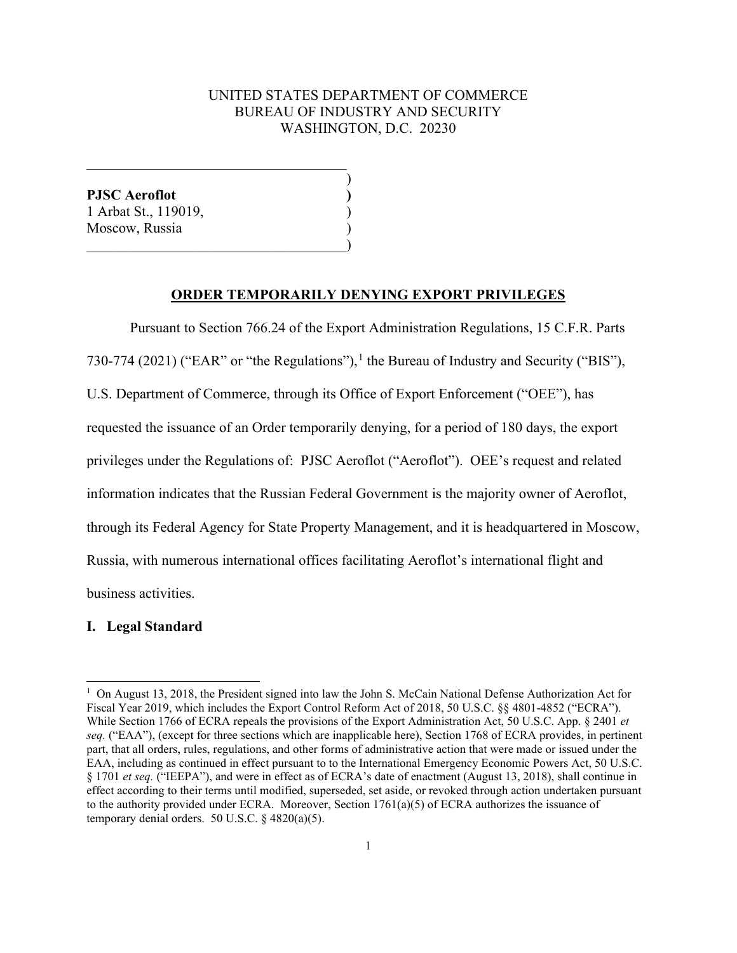# UNITED STATES DEPARTMENT OF COMMERCE BUREAU OF INDUSTRY AND SECURITY WASHINGTON, D.C. 20230

)

**PJSC Aeroflot )** 1 Arbat St., 119019, ) Moscow, Russia )  $\hspace{.5em}$   $\hspace{.5em}$   $\hspace{.5em}$   $\hspace{.5em}$   $\hspace{.5em}$   $\hspace{.5em}$   $\hspace{.5em}$   $\hspace{.5em}$   $\hspace{.5em}$   $\hspace{.5em}$   $\hspace{.5em}$   $\hspace{.5em}$   $\hspace{.5em}$   $\hspace{.5em}$   $\hspace{.5em}$   $\hspace{.5em}$   $\hspace{.5em}$   $\hspace{.5em}$   $\hspace{.5em}$   $\hspace{.5em}$ 

 $\overline{\mathcal{L}}$  , and the state of the state of the state of the state of the state of the state of the state of the state of the state of the state of the state of the state of the state of the state of the state of the stat

#### **ORDER TEMPORARILY DENYING EXPORT PRIVILEGES**

 Pursuant to Section 766.24 of the Export Administration Regulations, 15 C.F.R. Parts 730-774 (2021) ("EAR" or "the Regulations"), [1](#page-0-0) the Bureau of Industry and Security ("BIS"), U.S. Department of Commerce, through its Office of Export Enforcement ("OEE"), has requested the issuance of an Order temporarily denying, for a period of 180 days, the export privileges under the Regulations of: PJSC Aeroflot ("Aeroflot"). OEE's request and related information indicates that the Russian Federal Government is the majority owner of Aeroflot, through its Federal Agency for State Property Management, and it is headquartered in Moscow, Russia, with numerous international offices facilitating Aeroflot's international flight and business activities.

#### **I. Legal Standard**

<span id="page-0-0"></span><sup>&</sup>lt;sup>1</sup> On August 13, 2018, the President signed into law the John S. McCain National Defense Authorization Act for Fiscal Year 2019, which includes the Export Control Reform Act of 2018, 50 U.S.C. §§ 4801-4852 ("ECRA"). While Section 1766 of ECRA repeals the provisions of the Export Administration Act, 50 U.S.C. App. § 2401 *et seq.* ("EAA"), (except for three sections which are inapplicable here), Section 1768 of ECRA provides, in pertinent part, that all orders, rules, regulations, and other forms of administrative action that were made or issued under the EAA, including as continued in effect pursuant to to the International Emergency Economic Powers Act, 50 U.S.C. § 1701 *et seq.* ("IEEPA"), and were in effect as of ECRA's date of enactment (August 13, 2018), shall continue in effect according to their terms until modified, superseded, set aside, or revoked through action undertaken pursuant to the authority provided under ECRA. Moreover, Section 1761(a)(5) of ECRA authorizes the issuance of temporary denial orders. 50 U.S.C. § 4820(a)(5).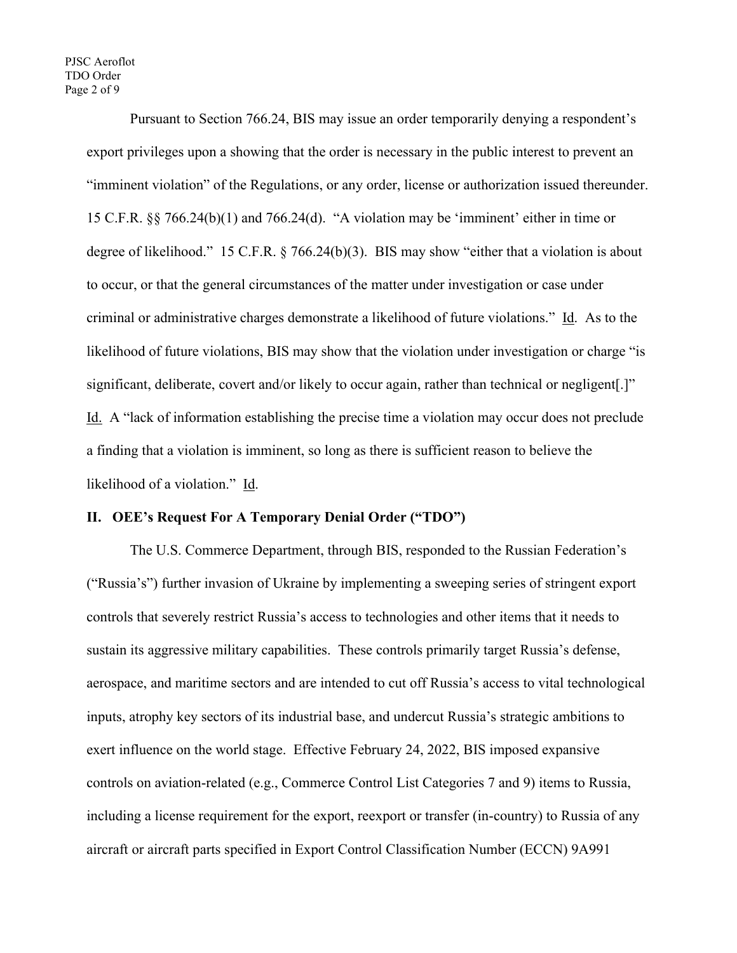PJSC Aeroflot TDO Order Page 2 of 9

> Pursuant to Section 766.24, BIS may issue an order temporarily denying a respondent's export privileges upon a showing that the order is necessary in the public interest to prevent an "imminent violation" of the Regulations, or any order, license or authorization issued thereunder. 15 C.F.R. §§ 766.24(b)(1) and 766.24(d). "A violation may be 'imminent' either in time or degree of likelihood." 15 C.F.R. § 766.24(b)(3). BIS may show "either that a violation is about to occur, or that the general circumstances of the matter under investigation or case under criminal or administrative charges demonstrate a likelihood of future violations." Id. As to the likelihood of future violations, BIS may show that the violation under investigation or charge "is significant, deliberate, covert and/or likely to occur again, rather than technical or negligent[.]" Id. A "lack of information establishing the precise time a violation may occur does not preclude a finding that a violation is imminent, so long as there is sufficient reason to believe the likelihood of a violation." Id.

# **II. OEE's Request For A Temporary Denial Order ("TDO")**

The U.S. Commerce Department, through BIS, responded to the Russian Federation's ("Russia's") further invasion of Ukraine by implementing a sweeping series of stringent export controls that severely restrict Russia's access to technologies and other items that it needs to sustain its aggressive military capabilities. These controls primarily target Russia's defense, aerospace, and maritime sectors and are intended to cut off Russia's access to vital technological inputs, atrophy key sectors of its industrial base, and undercut Russia's strategic ambitions to exert influence on the world stage. Effective February 24, 2022, BIS imposed expansive controls on aviation-related (e.g., Commerce Control List Categories 7 and 9) items to Russia, including a license requirement for the export, reexport or transfer (in-country) to Russia of any aircraft or aircraft parts specified in Export Control Classification Number (ECCN) 9A991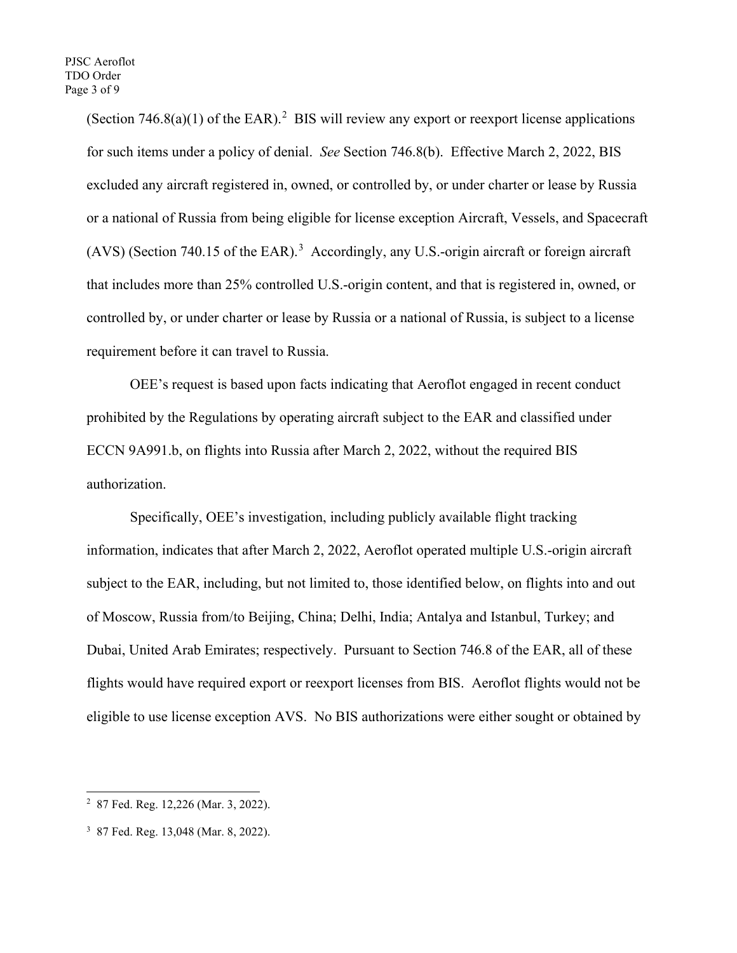(Section  $746.8(a)(1)$  of the EAR).<sup>[2](#page-2-0)</sup> BIS will review any export or reexport license applications for such items under a policy of denial. *See* Section 746.8(b). Effective March 2, 2022, BIS excluded any aircraft registered in, owned, or controlled by, or under charter or lease by Russia or a national of Russia from being eligible for license exception Aircraft, Vessels, and Spacecraft  $(AVS)$  (Section 740.15 of the EAR).<sup>[3](#page-2-1)</sup> Accordingly, any U.S.-origin aircraft or foreign aircraft that includes more than 25% controlled U.S.-origin content, and that is registered in, owned, or controlled by, or under charter or lease by Russia or a national of Russia, is subject to a license requirement before it can travel to Russia.

OEE's request is based upon facts indicating that Aeroflot engaged in recent conduct prohibited by the Regulations by operating aircraft subject to the EAR and classified under ECCN 9A991.b, on flights into Russia after March 2, 2022, without the required BIS authorization.

Specifically, OEE's investigation, including publicly available flight tracking information, indicates that after March 2, 2022, Aeroflot operated multiple U.S.-origin aircraft subject to the EAR, including, but not limited to, those identified below, on flights into and out of Moscow, Russia from/to Beijing, China; Delhi, India; Antalya and Istanbul, Turkey; and Dubai, United Arab Emirates; respectively. Pursuant to Section 746.8 of the EAR, all of these flights would have required export or reexport licenses from BIS. Aeroflot flights would not be eligible to use license exception AVS. No BIS authorizations were either sought or obtained by

<span id="page-2-0"></span><sup>2</sup> 87 Fed. Reg. 12,226 (Mar. 3, 2022).

<span id="page-2-1"></span><sup>3</sup> 87 Fed. Reg. 13,048 (Mar. 8, 2022).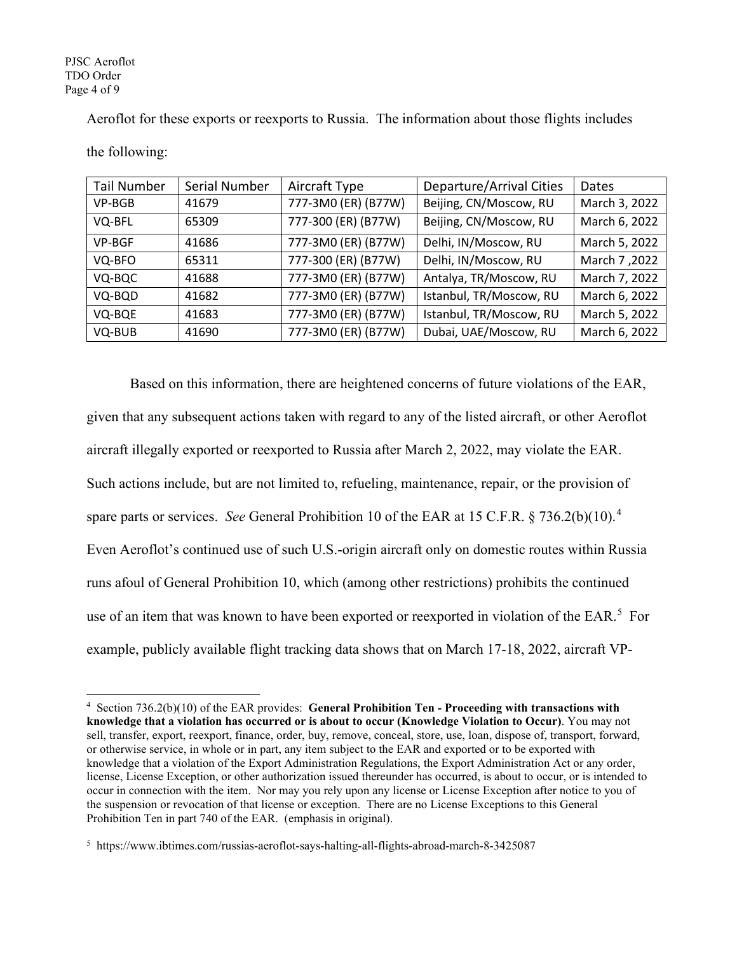PJSC Aeroflot TDO Order Page 4 of 9

Aeroflot for these exports or reexports to Russia. The information about those flights includes

| <b>Tail Number</b> | Serial Number | Aircraft Type       | Departure/Arrival Cities | Dates         |
|--------------------|---------------|---------------------|--------------------------|---------------|
| VP-BGB             | 41679         | 777-3M0 (ER) (B77W) | Beijing, CN/Moscow, RU   | March 3, 2022 |
| VQ-BFL             | 65309         | 777-300 (ER) (B77W) | Beijing, CN/Moscow, RU   | March 6, 2022 |
| <b>VP-BGF</b>      | 41686         | 777-3M0 (ER) (B77W) | Delhi, IN/Moscow, RU     | March 5, 2022 |
| VQ-BFO             | 65311         | 777-300 (ER) (B77W) | Delhi, IN/Moscow, RU     | March 7,2022  |
| VQ-BQC             | 41688         | 777-3M0 (ER) (B77W) | Antalya, TR/Moscow, RU   | March 7, 2022 |
| VQ-BQD             | 41682         | 777-3M0 (ER) (B77W) | Istanbul, TR/Moscow, RU  | March 6, 2022 |
| VQ-BQE             | 41683         | 777-3M0 (ER) (B77W) | Istanbul, TR/Moscow, RU  | March 5, 2022 |
| VQ-BUB             | 41690         | 777-3M0 (ER) (B77W) | Dubai, UAE/Moscow, RU    | March 6, 2022 |

the following:

Based on this information, there are heightened concerns of future violations of the EAR, given that any subsequent actions taken with regard to any of the listed aircraft, or other Aeroflot aircraft illegally exported or reexported to Russia after March 2, 2022, may violate the EAR. Such actions include, but are not limited to, refueling, maintenance, repair, or the provision of spare parts or services. *See* General Prohibition 10 of the EAR at 15 C.F.R. § 736.2(b)(10). [4](#page-3-0) Even Aeroflot's continued use of such U.S.-origin aircraft only on domestic routes within Russia runs afoul of General Prohibition 10, which (among other restrictions) prohibits the continued use of an item that was known to have been exported or reexported in violation of the EAR.<sup>[5](#page-3-1)</sup> For example, publicly available flight tracking data shows that on March 17-18, 2022, aircraft VP-

<span id="page-3-0"></span><sup>4</sup> Section 736.2(b)(10) of the EAR provides: **General Prohibition Ten - Proceeding with transactions with knowledge that a violation has occurred or is about to occur (Knowledge Violation to Occur)**. You may not sell, transfer, export, reexport, finance, order, buy, remove, conceal, store, use, loan, dispose of, transport, forward, or otherwise service, in whole or in part, any item subject to the EAR and exported or to be exported with knowledge that a violation of the Export Administration Regulations, the Export Administration Act or any order, license, License Exception, or other authorization issued thereunder has occurred, is about to occur, or is intended to occur in connection with the item. Nor may you rely upon any license or License Exception after notice to you of the suspension or revocation of that license or exception. There are no License Exceptions to this General Prohibition Ten in part 740 of the EAR. (emphasis in original).

<span id="page-3-1"></span><sup>5</sup> https://www.ibtimes.com/russias-aeroflot-says-halting-all-flights-abroad-march-8-3425087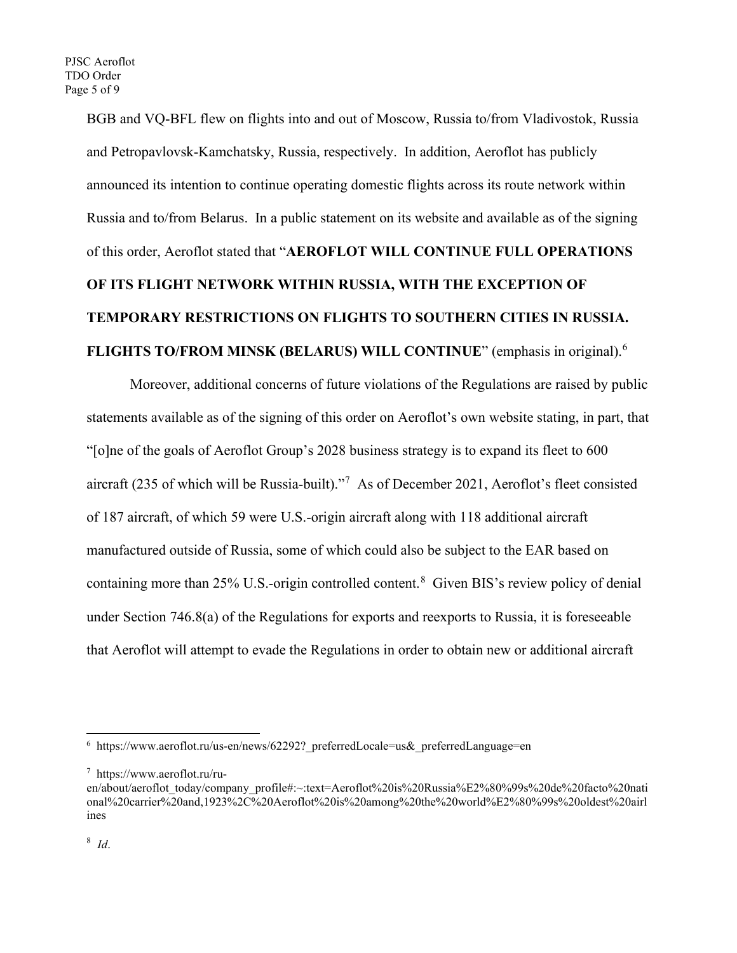BGB and VQ-BFL flew on flights into and out of Moscow, Russia to/from Vladivostok, Russia and Petropavlovsk-Kamchatsky, Russia, respectively. In addition, Aeroflot has publicly announced its intention to continue operating domestic flights across its route network within Russia and to/from Belarus. In a public statement on its website and available as of the signing of this order, Aeroflot stated that "**AEROFLOT WILL CONTINUE FULL OPERATIONS OF ITS FLIGHT NETWORK WITHIN RUSSIA, WITH THE EXCEPTION OF TEMPORARY RESTRICTIONS ON FLIGHTS TO SOUTHERN CITIES IN RUSSIA. FLIGHTS TO/FROM MINSK (BELARUS) WILL CONTINUE**" (emphasis in original). [6](#page-4-0)

Moreover, additional concerns of future violations of the Regulations are raised by public statements available as of the signing of this order on Aeroflot's own website stating, in part, that "[o]ne of the goals of Aeroflot Group's 2028 business strategy is to expand its fleet to 600 aircraft (235 of which will be Russia-built)."<sup>[7](#page-4-1)</sup> As of December 2021, Aeroflot's fleet consisted of 187 aircraft, of which 59 were U.S.-origin aircraft along with 118 additional aircraft manufactured outside of Russia, some of which could also be subject to the EAR based on containing more than 25% U.S.-origin controlled content.<sup>[8](#page-4-2)</sup> Given BIS's review policy of denial under Section 746.8(a) of the Regulations for exports and reexports to Russia, it is foreseeable that Aeroflot will attempt to evade the Regulations in order to obtain new or additional aircraft

<span id="page-4-0"></span> $6$  https://www.aeroflot.ru/us-en/news/62292? preferredLocale=us& preferredLanguage=en

<span id="page-4-1"></span><sup>7</sup> https://www.aeroflot.ru/ru-

<span id="page-4-2"></span>en/about/aeroflot\_today/company\_profile#:~:text=Aeroflot%20is%20Russia%E2%80%99s%20de%20facto%20nati onal%20carrier%20and,1923%2C%20Aeroflot%20is%20among%20the%20world%E2%80%99s%20oldest%20airl ines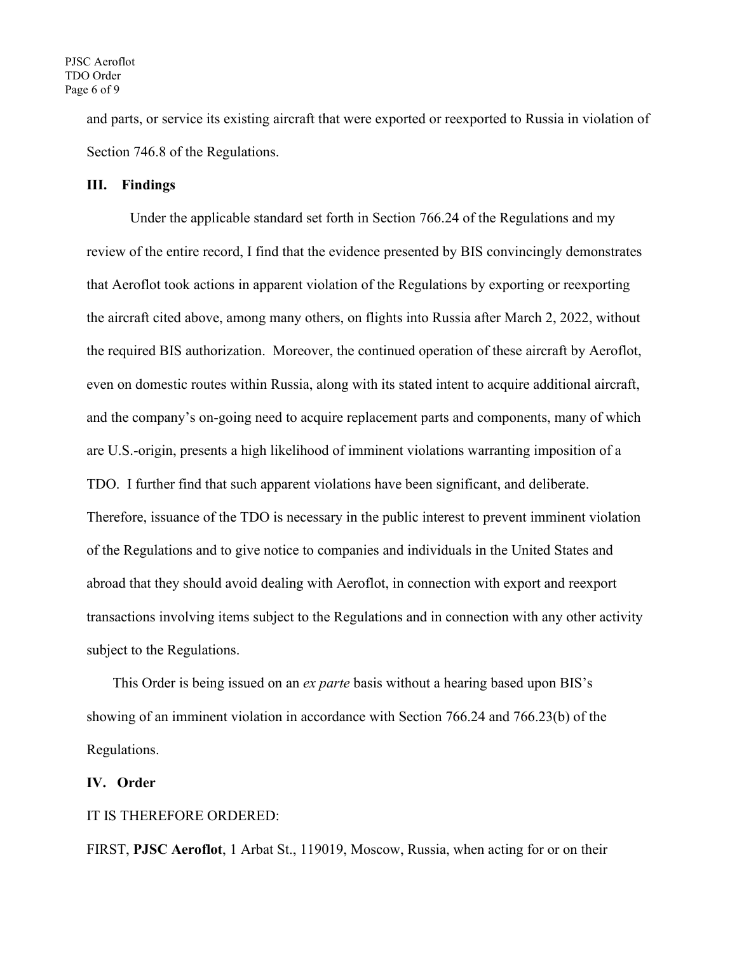and parts, or service its existing aircraft that were exported or reexported to Russia in violation of Section 746.8 of the Regulations.

## **III. Findings**

Under the applicable standard set forth in Section 766.24 of the Regulations and my review of the entire record, I find that the evidence presented by BIS convincingly demonstrates that Aeroflot took actions in apparent violation of the Regulations by exporting or reexporting the aircraft cited above, among many others, on flights into Russia after March 2, 2022, without the required BIS authorization. Moreover, the continued operation of these aircraft by Aeroflot, even on domestic routes within Russia, along with its stated intent to acquire additional aircraft, and the company's on-going need to acquire replacement parts and components, many of which are U.S.-origin, presents a high likelihood of imminent violations warranting imposition of a TDO. I further find that such apparent violations have been significant, and deliberate. Therefore, issuance of the TDO is necessary in the public interest to prevent imminent violation of the Regulations and to give notice to companies and individuals in the United States and abroad that they should avoid dealing with Aeroflot, in connection with export and reexport transactions involving items subject to the Regulations and in connection with any other activity subject to the Regulations.

This Order is being issued on an *ex parte* basis without a hearing based upon BIS's showing of an imminent violation in accordance with Section 766.24 and 766.23(b) of the Regulations.

### **IV. Order**

### IT IS THEREFORE ORDERED:

FIRST, **PJSC Aeroflot**, 1 Arbat St., 119019, Moscow, Russia, when acting for or on their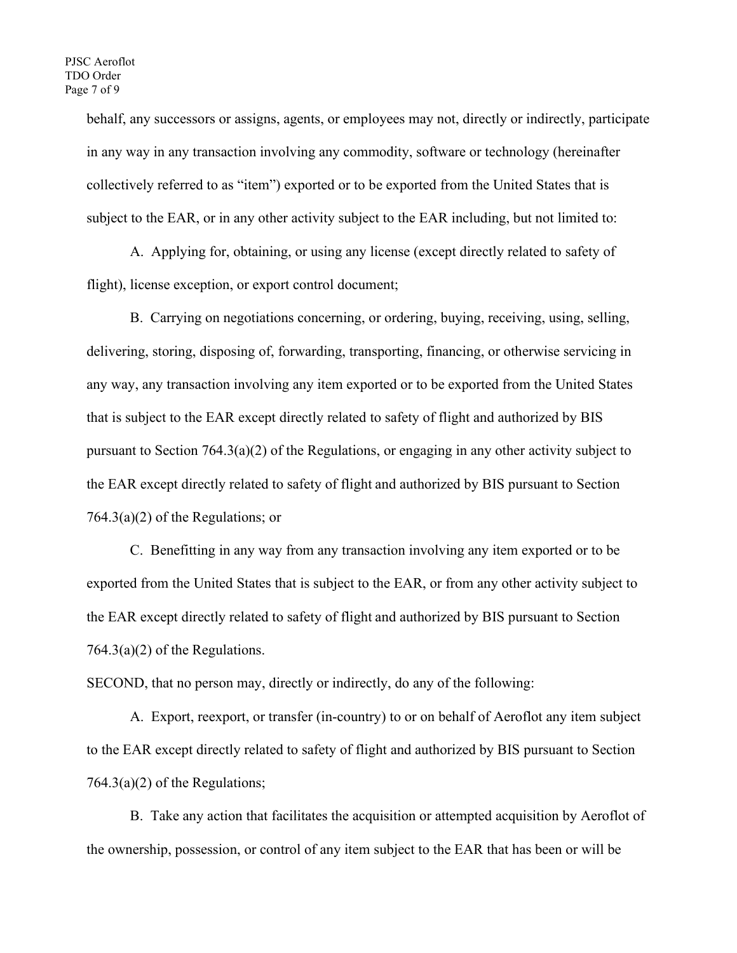behalf, any successors or assigns, agents, or employees may not, directly or indirectly, participate in any way in any transaction involving any commodity, software or technology (hereinafter collectively referred to as "item") exported or to be exported from the United States that is subject to the EAR, or in any other activity subject to the EAR including, but not limited to:

A. Applying for, obtaining, or using any license (except directly related to safety of flight), license exception, or export control document;

B. Carrying on negotiations concerning, or ordering, buying, receiving, using, selling, delivering, storing, disposing of, forwarding, transporting, financing, or otherwise servicing in any way, any transaction involving any item exported or to be exported from the United States that is subject to the EAR except directly related to safety of flight and authorized by BIS pursuant to Section 764.3(a)(2) of the Regulations, or engaging in any other activity subject to the EAR except directly related to safety of flight and authorized by BIS pursuant to Section 764.3(a)(2) of the Regulations; or

C. Benefitting in any way from any transaction involving any item exported or to be exported from the United States that is subject to the EAR, or from any other activity subject to the EAR except directly related to safety of flight and authorized by BIS pursuant to Section 764.3(a)(2) of the Regulations.

SECOND, that no person may, directly or indirectly, do any of the following:

A. Export, reexport, or transfer (in-country) to or on behalf of Aeroflot any item subject to the EAR except directly related to safety of flight and authorized by BIS pursuant to Section  $764.3(a)(2)$  of the Regulations;

B. Take any action that facilitates the acquisition or attempted acquisition by Aeroflot of the ownership, possession, or control of any item subject to the EAR that has been or will be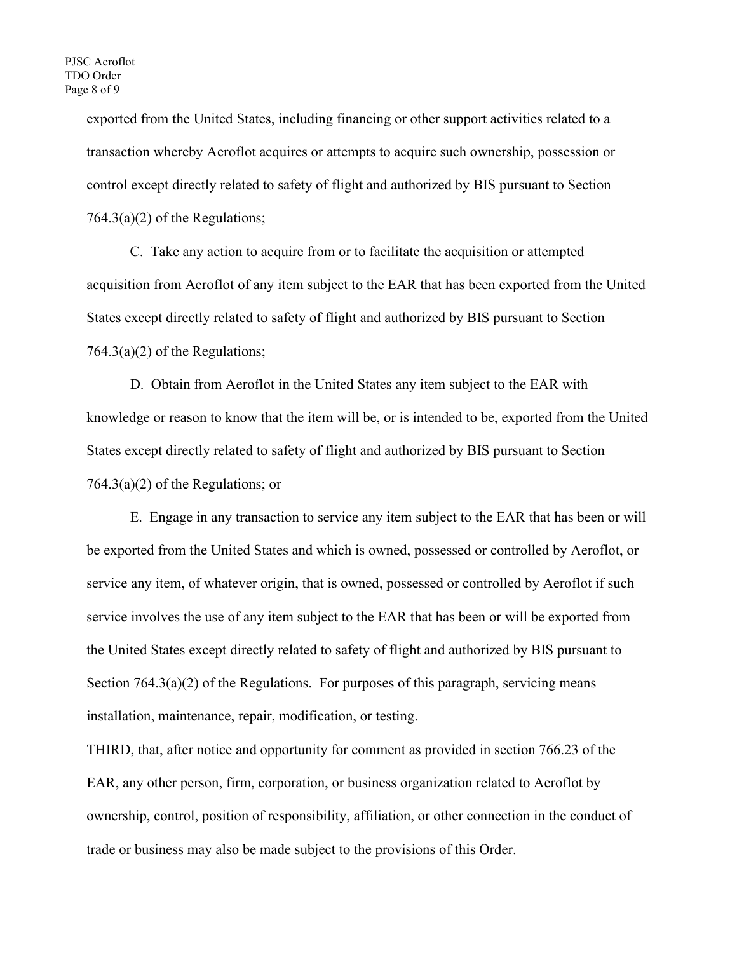exported from the United States, including financing or other support activities related to a transaction whereby Aeroflot acquires or attempts to acquire such ownership, possession or control except directly related to safety of flight and authorized by BIS pursuant to Section 764.3(a)(2) of the Regulations;

C. Take any action to acquire from or to facilitate the acquisition or attempted acquisition from Aeroflot of any item subject to the EAR that has been exported from the United States except directly related to safety of flight and authorized by BIS pursuant to Section  $764.3(a)(2)$  of the Regulations;

D. Obtain from Aeroflot in the United States any item subject to the EAR with knowledge or reason to know that the item will be, or is intended to be, exported from the United States except directly related to safety of flight and authorized by BIS pursuant to Section 764.3(a)(2) of the Regulations; or

E. Engage in any transaction to service any item subject to the EAR that has been or will be exported from the United States and which is owned, possessed or controlled by Aeroflot, or service any item, of whatever origin, that is owned, possessed or controlled by Aeroflot if such service involves the use of any item subject to the EAR that has been or will be exported from the United States except directly related to safety of flight and authorized by BIS pursuant to Section 764.3(a)(2) of the Regulations. For purposes of this paragraph, servicing means installation, maintenance, repair, modification, or testing.

THIRD, that, after notice and opportunity for comment as provided in section 766.23 of the EAR, any other person, firm, corporation, or business organization related to Aeroflot by ownership, control, position of responsibility, affiliation, or other connection in the conduct of trade or business may also be made subject to the provisions of this Order.